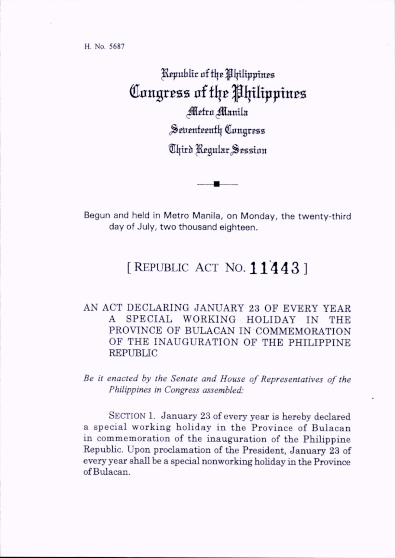H. No. 5687

Republic of the Philippines Congress of the Philippines *Metro Manila* Seitenteenth Congress Chird Regular Session

Begun and held in Metro Manila, on Monday, the twenty-third day of July, two thousand eighteen.

## [REPUBLIC ACT NO.  $11443$ ]

## AN ACT DECLARING JANUARY 23 OF EVERY YEAR A SPECIAL WORKING HOLIDAY IN THE PROVINCE OF BULACAN IN COMMEMORATION OF THE INAUGURATION OF THE PHILIPPINE REPUBLIC

Be it enacted by the Senate and House of Representatives of the Philippines in Congress assembled:

SECTION 1. January 23 of every year is hereby declared a special working holiday in the Province of Bulacan in commemoration of the inauguration of the Philippine Republic. Upon proclamation of the President, January 23 of every year shaU be a special nonworking hohday in the Province of Bulacan.